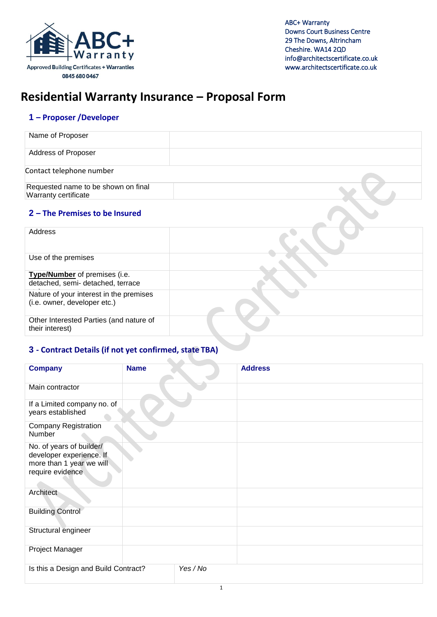

# **Residential Warranty Insurance – Proposal Form**

# **1 – Proposer /Developer**

| Name of Proposer                                                        |  |
|-------------------------------------------------------------------------|--|
| Address of Proposer                                                     |  |
| Contact telephone number                                                |  |
| Requested name to be shown on final<br><b>Warranty certificate</b>      |  |
| 2 - The Premises to be Insured                                          |  |
| Address                                                                 |  |
| Use of the premises                                                     |  |
| Type/Number of premises (i.e.<br>detached, semi- detached, terrace      |  |
| Nature of your interest in the premises<br>(i.e. owner, developer etc.) |  |
| Other Interested Parties (and nature of<br>their interest)              |  |

## **3 - Contract Details (if not yet confirmed, state TBA)**

 $\Delta$ 

| <b>Company</b>                                                                                       | <b>Name</b> |          | <b>Address</b> |
|------------------------------------------------------------------------------------------------------|-------------|----------|----------------|
|                                                                                                      |             |          |                |
| Main contractor                                                                                      |             |          |                |
| If a Limited company no. of<br>years established                                                     |             |          |                |
| <b>Company Registration</b><br>Number                                                                |             |          |                |
| No. of years of builder/<br>developer experience. If<br>more than 1 year we will<br>require evidence |             |          |                |
| Architect                                                                                            |             |          |                |
| <b>Building Control</b>                                                                              |             |          |                |
| Structural engineer                                                                                  |             |          |                |
| Project Manager                                                                                      |             |          |                |
| Is this a Design and Build Contract?                                                                 |             | Yes / No |                |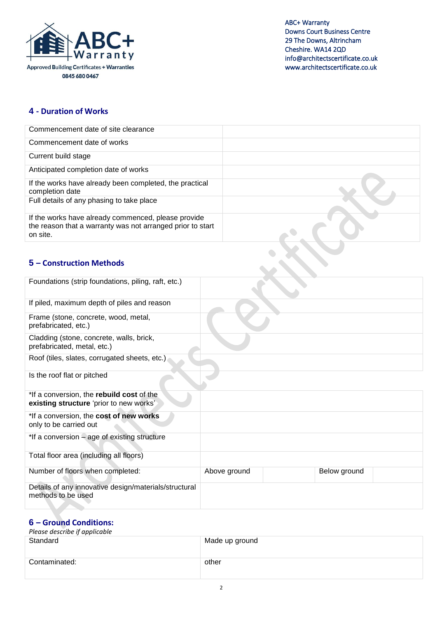

## **4 - Duration of Works**

| Commencement date of site clearance                                                                                           |              |              |  |
|-------------------------------------------------------------------------------------------------------------------------------|--------------|--------------|--|
| Commencement date of works                                                                                                    |              |              |  |
| Current build stage                                                                                                           |              |              |  |
| Anticipated completion date of works                                                                                          |              |              |  |
| If the works have already been completed, the practical<br>completion date                                                    |              |              |  |
| Full details of any phasing to take place                                                                                     |              |              |  |
| If the works have already commenced, please provide<br>the reason that a warranty was not arranged prior to start<br>on site. |              |              |  |
|                                                                                                                               |              |              |  |
| 5 - Construction Methods                                                                                                      |              |              |  |
| Foundations (strip foundations, piling, raft, etc.)                                                                           |              |              |  |
| If piled, maximum depth of piles and reason                                                                                   |              |              |  |
| Frame (stone, concrete, wood, metal,<br>prefabricated, etc.)                                                                  |              |              |  |
| Cladding (stone, concrete, walls, brick,<br>prefabricated, metal, etc.)                                                       |              |              |  |
| Roof (tiles, slates, corrugated sheets, etc.)                                                                                 |              |              |  |
| Is the roof flat or pitched                                                                                                   |              |              |  |
| *If a conversion, the rebuild cost of the<br>existing structure 'prior to new works'                                          |              |              |  |
| *If a conversion, the cost of new works<br>only to be carried out                                                             |              |              |  |
| *If a conversion - age of existing structure                                                                                  |              |              |  |
| Total floor area (including all floors)                                                                                       |              |              |  |
| Number of floors when completed:                                                                                              | Above ground | Below ground |  |
| Details of any innovative design/materials/structural<br>methods to be used                                                   |              |              |  |

## **6 – Ground Conditions:**

| Please describe if applicable |                |
|-------------------------------|----------------|
| Standard                      | Made up ground |
| Contaminated:                 | other          |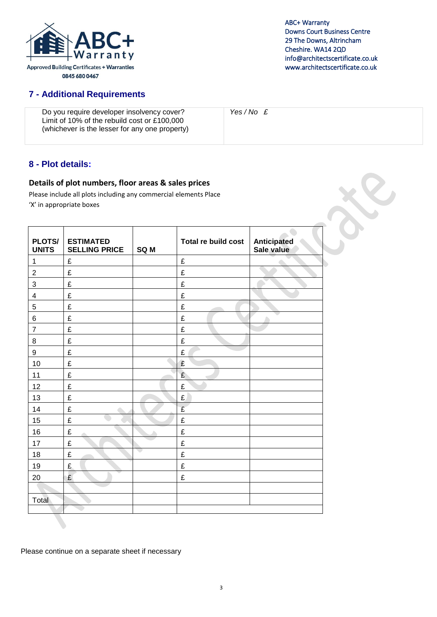

# **7 - Additional Requirements**

| Do you require developer insolvency cover?<br>Limit of 10% of the rebuild cost or £100,000<br>(whichever is the lesser for any one property) | Yes/No £ |
|----------------------------------------------------------------------------------------------------------------------------------------------|----------|
|----------------------------------------------------------------------------------------------------------------------------------------------|----------|

# **8 - Plot details:**

#### **Details of plot numbers, floor areas & sales prices**

Please include all plots including any commercial elements Place 'X' in appropriate boxes

| PLOTS/<br><b>UNITS</b>  | <b>ESTIMATED</b><br><b>SELLING PRICE</b> | SQ <sub>M</sub> | Total re build cost | <b>Anticipated</b><br>Sale value |
|-------------------------|------------------------------------------|-----------------|---------------------|----------------------------------|
| 1                       | £                                        |                 | £                   |                                  |
| $\overline{2}$          | £                                        |                 | £                   |                                  |
| 3                       | £                                        |                 | £                   |                                  |
| $\overline{\mathbf{4}}$ | £                                        |                 | £                   |                                  |
| $\overline{5}$          | £                                        |                 | £                   |                                  |
| 6                       | £                                        |                 | £                   |                                  |
| $\overline{7}$          | £                                        |                 | £                   |                                  |
| 8                       | £                                        |                 | £                   |                                  |
| 9                       | £                                        |                 | £                   |                                  |
| 10                      | £                                        |                 | £                   |                                  |
| 11                      | £                                        |                 | £                   |                                  |
| 12                      | £                                        |                 | £                   |                                  |
| 13                      | £                                        |                 | £                   |                                  |
| 14                      | £                                        |                 | £                   |                                  |
| 15                      | £                                        |                 | £                   |                                  |
| 16                      | £                                        |                 | £                   |                                  |
| 17                      | £                                        |                 | £                   |                                  |
| 18                      | £                                        |                 | £                   |                                  |
| 19                      | £                                        |                 | £                   |                                  |
| 20                      | £                                        |                 | £                   |                                  |
|                         |                                          |                 |                     |                                  |
| Total                   |                                          |                 |                     |                                  |
|                         |                                          |                 |                     |                                  |

Please continue on a separate sheet if necessary